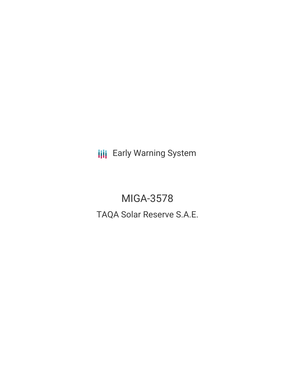**III** Early Warning System

MIGA-3578 TAQA Solar Reserve S.A.E.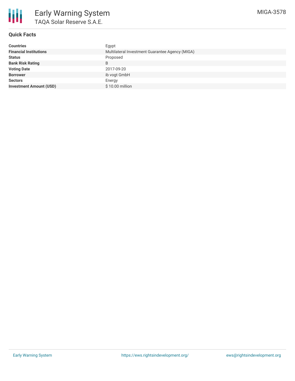

# **Quick Facts**

| <b>Countries</b>               | Egypt                                           |
|--------------------------------|-------------------------------------------------|
| <b>Financial Institutions</b>  | Multilateral Investment Guarantee Agency (MIGA) |
| <b>Status</b>                  | Proposed                                        |
| <b>Bank Risk Rating</b>        | B                                               |
| <b>Voting Date</b>             | 2017-09-20                                      |
| <b>Borrower</b>                | ib vogt GmbH                                    |
| <b>Sectors</b>                 | Energy                                          |
| <b>Investment Amount (USD)</b> | \$10.00 million                                 |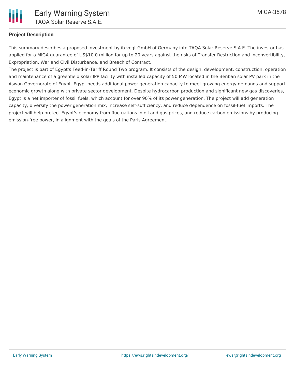## **Project Description**

This summary describes a proposed investment by ib vogt GmbH of Germany into TAQA Solar Reserve S.A.E. The investor has applied for a MIGA guarantee of US\$10.0 million for up to 20 years against the risks of Transfer Restriction and Inconvertibility, Expropriation, War and Civil Disturbance, and Breach of Contract.

The project is part of Egypt's Feed-in-Tariff Round Two program. It consists of the design, development, construction, operation and maintenance of a greenfield solar IPP facility with installed capacity of 50 MW located in the Benban solar PV park in the Aswan Governorate of Egypt. Egypt needs additional power generation capacity to meet growing energy demands and support economic growth along with private sector development. Despite hydrocarbon production and significant new gas discoveries, Egypt is a net importer of fossil fuels, which account for over 90% of its power generation. The project will add generation capacity, diversify the power generation mix, increase self-sufficiency, and reduce dependence on fossil-fuel imports. The project will help protect Egypt's economy from fluctuations in oil and gas prices, and reduce carbon emissions by producing emission-free power, in alignment with the goals of the Paris Agreement.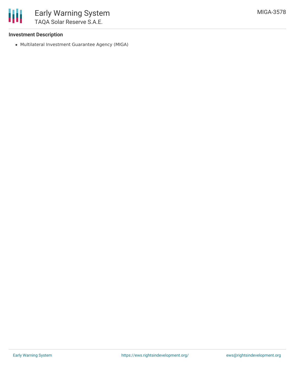

### **Investment Description**

Multilateral Investment Guarantee Agency (MIGA)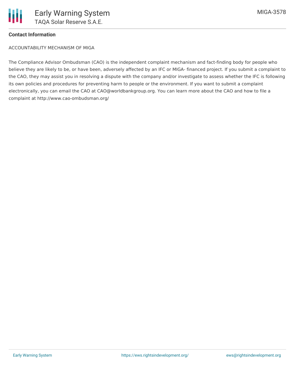

## **Contact Information**

ACCOUNTABILITY MECHANISM OF MIGA

The Compliance Advisor Ombudsman (CAO) is the independent complaint mechanism and fact-finding body for people who believe they are likely to be, or have been, adversely affected by an IFC or MIGA- financed project. If you submit a complaint to the CAO, they may assist you in resolving a dispute with the company and/or investigate to assess whether the IFC is following its own policies and procedures for preventing harm to people or the environment. If you want to submit a complaint electronically, you can email the CAO at CAO@worldbankgroup.org. You can learn more about the CAO and how to file a complaint at http://www.cao-ombudsman.org/